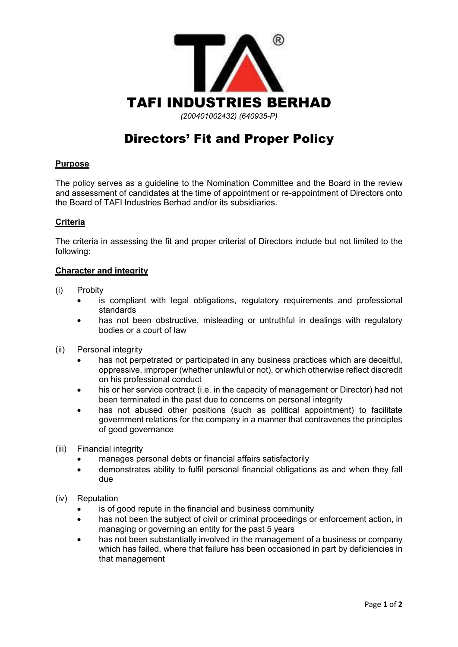

# Directors' Fit and Proper Policy

## **Purpose**

The policy serves as a guideline to the Nomination Committee and the Board in the review and assessment of candidates at the time of appointment or re-appointment of Directors onto the Board of TAFI Industries Berhad and/or its subsidiaries.

## **Criteria**

The criteria in assessing the fit and proper criterial of Directors include but not limited to the following:

## **Character and integrity**

- (i) Probity
	- is compliant with legal obligations, regulatory requirements and professional standards
	- has not been obstructive, misleading or untruthful in dealings with regulatory bodies or a court of law
- (ii) Personal integrity
	- has not perpetrated or participated in any business practices which are deceitful, oppressive, improper (whether unlawful or not), or which otherwise reflect discredit on his professional conduct
	- his or her service contract (i.e. in the capacity of management or Director) had not been terminated in the past due to concerns on personal integrity
	- has not abused other positions (such as political appointment) to facilitate government relations for the company in a manner that contravenes the principles of good governance
- (iii) Financial integrity
	- manages personal debts or financial affairs satisfactorily
	- demonstrates ability to fulfil personal financial obligations as and when they fall due
- (iv) Reputation
	- is of good repute in the financial and business community
	- has not been the subject of civil or criminal proceedings or enforcement action, in managing or governing an entity for the past 5 years
	- has not been substantially involved in the management of a business or company which has failed, where that failure has been occasioned in part by deficiencies in that management